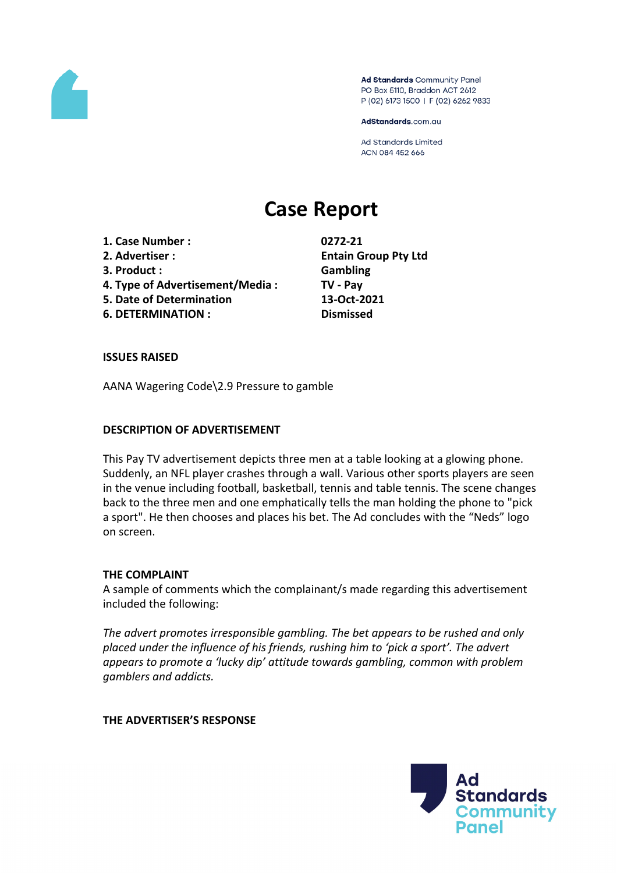

Ad Standards Community Panel PO Box 5110, Braddon ACT 2612 P (02) 6173 1500 | F (02) 6262 9833

AdStandards.com.au

**Ad Standards Limited** ACN 084 452 666

# **Case Report**

**1. Case Number : 0272-21**

- 
- **3. Product : Gambling**
- **4. Type of Advertisement/Media : TV - Pay**
- **5. Date of Determination 13-Oct-2021**

**6. DETERMINATION : Dismissed**

**2. Advertiser : Entain Group Pty Ltd**

## **ISSUES RAISED**

AANA Wagering Code\2.9 Pressure to gamble

## **DESCRIPTION OF ADVERTISEMENT**

This Pay TV advertisement depicts three men at a table looking at a glowing phone. Suddenly, an NFL player crashes through a wall. Various other sports players are seen in the venue including football, basketball, tennis and table tennis. The scene changes back to the three men and one emphatically tells the man holding the phone to "pick a sport". He then chooses and places his bet. The Ad concludes with the "Neds" logo on screen.

## **THE COMPLAINT**

A sample of comments which the complainant/s made regarding this advertisement included the following:

*The advert promotes irresponsible gambling. The bet appears to be rushed and only placed under the influence of his friends, rushing him to 'pick a sport'. The advert appears to promote a 'lucky dip' attitude towards gambling, common with problem gamblers and addicts.*

**THE ADVERTISER'S RESPONSE**

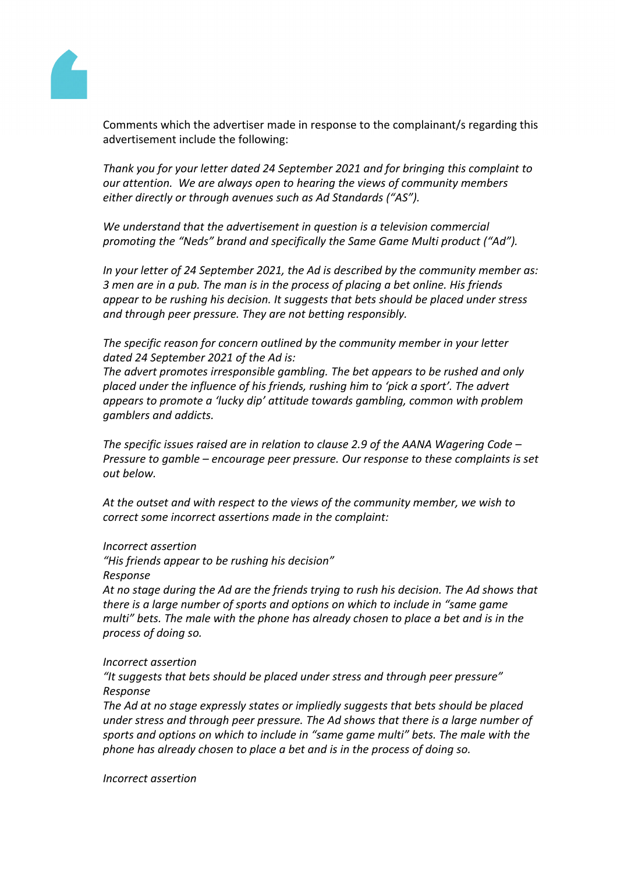

Comments which the advertiser made in response to the complainant/s regarding this advertisement include the following:

*Thank you for your letter dated 24 September 2021 and for bringing this complaint to our attention. We are always open to hearing the views of community members either directly or through avenues such as Ad Standards ("AS").* 

*We understand that the advertisement in question is a television commercial promoting the "Neds" brand and specifically the Same Game Multi product ("Ad").*

*In your letter of 24 September 2021, the Ad is described by the community member as: 3 men are in a pub. The man is in the process of placing a bet online. His friends appear to be rushing his decision. It suggests that bets should be placed under stress and through peer pressure. They are not betting responsibly.*

*The specific reason for concern outlined by the community member in your letter dated 24 September 2021 of the Ad is:*

*The advert promotes irresponsible gambling. The bet appears to be rushed and only placed under the influence of his friends, rushing him to 'pick a sport'. The advert appears to promote a 'lucky dip' attitude towards gambling, common with problem gamblers and addicts.*

*The specific issues raised are in relation to clause 2.9 of the AANA Wagering Code – Pressure to gamble – encourage peer pressure. Our response to these complaints is set out below.* 

*At the outset and with respect to the views of the community member, we wish to correct some incorrect assertions made in the complaint:*

#### *Incorrect assertion*

*"His friends appear to be rushing his decision" Response*

*At no stage during the Ad are the friends trying to rush his decision. The Ad shows that there is a large number of sports and options on which to include in "same game multi" bets. The male with the phone has already chosen to place a bet and is in the process of doing so.*

#### *Incorrect assertion*

*"It suggests that bets should be placed under stress and through peer pressure" Response*

*The Ad at no stage expressly states or impliedly suggests that bets should be placed under stress and through peer pressure. The Ad shows that there is a large number of sports and options on which to include in "same game multi" bets. The male with the phone has already chosen to place a bet and is in the process of doing so.*

*Incorrect assertion*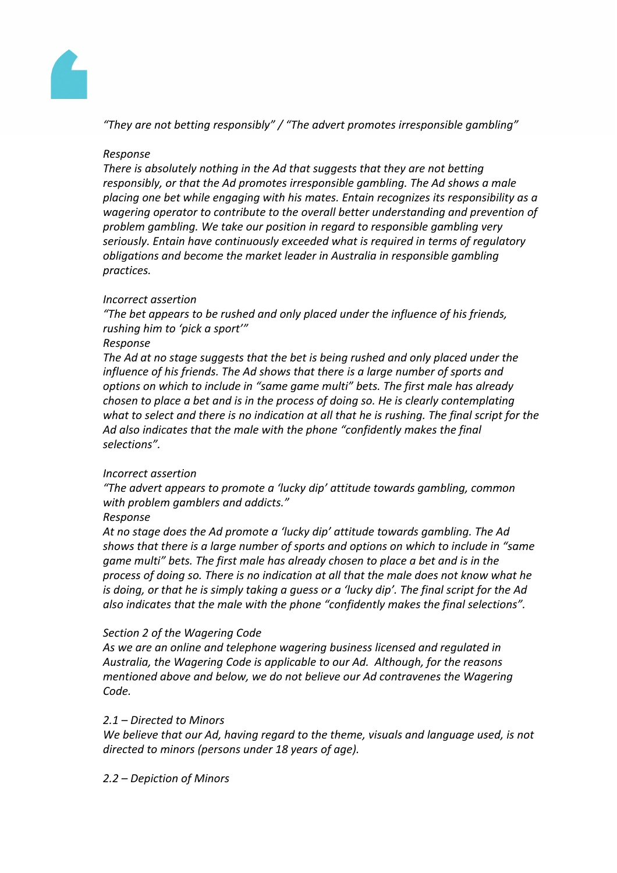

*"They are not betting responsibly" / "The advert promotes irresponsible gambling"*

## *Response*

*There is absolutely nothing in the Ad that suggests that they are not betting responsibly, or that the Ad promotes irresponsible gambling. The Ad shows a male placing one bet while engaging with his mates. Entain recognizes its responsibility as a wagering operator to contribute to the overall better understanding and prevention of problem gambling. We take our position in regard to responsible gambling very seriously. Entain have continuously exceeded what is required in terms of regulatory obligations and become the market leader in Australia in responsible gambling practices.*

## *Incorrect assertion*

*"The bet appears to be rushed and only placed under the influence of his friends, rushing him to 'pick a sport'"*

## *Response*

*The Ad at no stage suggests that the bet is being rushed and only placed under the influence of his friends. The Ad shows that there is a large number of sports and options on which to include in "same game multi" bets. The first male has already chosen to place a bet and is in the process of doing so. He is clearly contemplating* what to select and there is no indication at all that he is rushing. The final script for the *Ad also indicates that the male with the phone "confidently makes the final selections".*

## *Incorrect assertion*

*"The advert appears to promote a 'lucky dip' attitude towards gambling, common with problem gamblers and addicts."*

## *Response*

*At no stage does the Ad promote a 'lucky dip' attitude towards gambling. The Ad shows that there is a large number of sports and options on which to include in "same game multi" bets. The first male has already chosen to place a bet and is in the process of doing so. There is no indication at all that the male does not know what he* is doing, or that he is simply taking a quess or a 'lucky dip'. The final script for the Ad *also indicates that the male with the phone "confidently makes the final selections".*

## *Section 2 of the Wagering Code*

*As we are an online and telephone wagering business licensed and regulated in Australia, the Wagering Code is applicable to our Ad. Although, for the reasons mentioned above and below, we do not believe our Ad contravenes the Wagering Code.*

## *2.1 – Directed to Minors*

*We believe that our Ad, having regard to the theme, visuals and language used, is not directed to minors (persons under 18 years of age).*

## *2.2 – Depiction of Minors*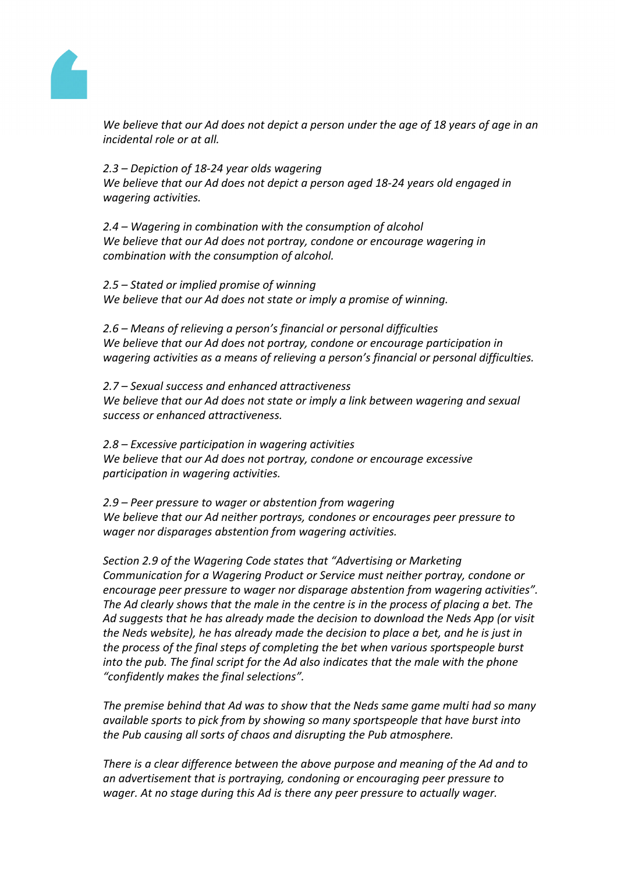

We believe that our Ad does not depict a person under the age of 18 years of age in an *incidental role or at all.*

*2.3 – Depiction of 18-24 year olds wagering We believe that our Ad does not depict a person aged 18-24 years old engaged in wagering activities.*

*2.4 – Wagering in combination with the consumption of alcohol We believe that our Ad does not portray, condone or encourage wagering in combination with the consumption of alcohol.* 

*2.5 – Stated or implied promise of winning We believe that our Ad does not state or imply a promise of winning.*

*2.6 – Means of relieving a person's financial or personal difficulties We believe that our Ad does not portray, condone or encourage participation in wagering activities as a means of relieving a person's financial or personal difficulties.*

*2.7 – Sexual success and enhanced attractiveness We believe that our Ad does not state or imply a link between wagering and sexual success or enhanced attractiveness.*

*2.8 – Excessive participation in wagering activities We believe that our Ad does not portray, condone or encourage excessive participation in wagering activities.*

*2.9 – Peer pressure to wager or abstention from wagering We believe that our Ad neither portrays, condones or encourages peer pressure to wager nor disparages abstention from wagering activities.*

*Section 2.9 of the Wagering Code states that "Advertising or Marketing Communication for a Wagering Product or Service must neither portray, condone or encourage peer pressure to wager nor disparage abstention from wagering activities". The Ad clearly shows that the male in the centre is in the process of placing a bet. The Ad suggests that he has already made the decision to download the Neds App (or visit the Neds website), he has already made the decision to place a bet, and he is just in the process of the final steps of completing the bet when various sportspeople burst into the pub. The final script for the Ad also indicates that the male with the phone "confidently makes the final selections".*

*The premise behind that Ad was to show that the Neds same game multi had so many available sports to pick from by showing so many sportspeople that have burst into the Pub causing all sorts of chaos and disrupting the Pub atmosphere.*

*There is a clear difference between the above purpose and meaning of the Ad and to an advertisement that is portraying, condoning or encouraging peer pressure to wager. At no stage during this Ad is there any peer pressure to actually wager.*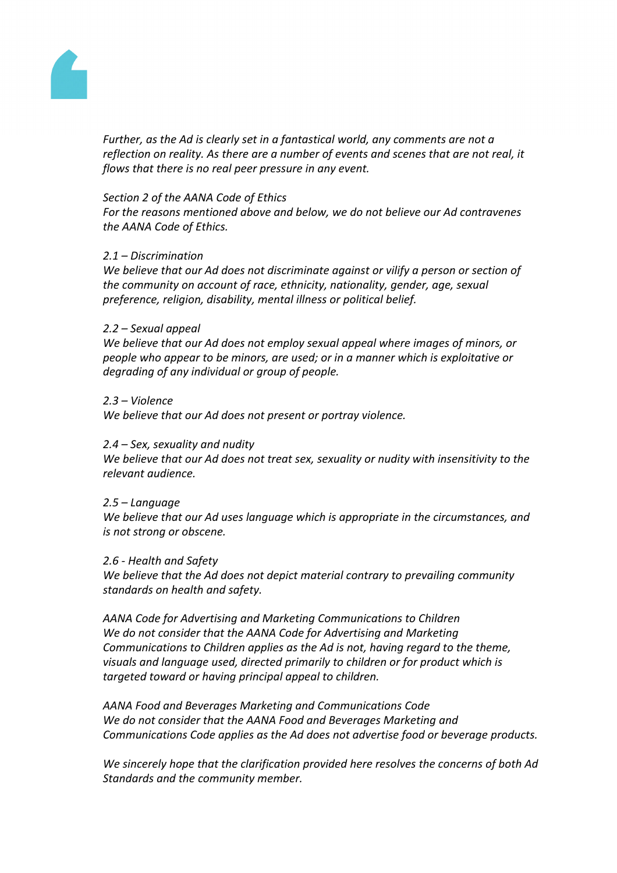

*Further, as the Ad is clearly set in a fantastical world, any comments are not a reflection on reality. As there are a number of events and scenes that are not real, it flows that there is no real peer pressure in any event.*

#### *Section 2 of the AANA Code of Ethics*

*For the reasons mentioned above and below, we do not believe our Ad contravenes the AANA Code of Ethics.*

#### *2.1 – Discrimination*

*We believe that our Ad does not discriminate against or vilify a person or section of the community on account of race, ethnicity, nationality, gender, age, sexual preference, religion, disability, mental illness or political belief.* 

#### *2.2 – Sexual appeal*

*We believe that our Ad does not employ sexual appeal where images of minors, or people who appear to be minors, are used; or in a manner which is exploitative or degrading of any individual or group of people.*

#### *2.3 – Violence*

*We believe that our Ad does not present or portray violence.* 

## *2.4 – Sex, sexuality and nudity*

*We believe that our Ad does not treat sex, sexuality or nudity with insensitivity to the relevant audience.* 

#### *2.5 – Language*

*We believe that our Ad uses language which is appropriate in the circumstances, and is not strong or obscene.*

#### *2.6 - Health and Safety*

*We believe that the Ad does not depict material contrary to prevailing community standards on health and safety.*

*AANA Code for Advertising and Marketing Communications to Children We do not consider that the AANA Code for Advertising and Marketing Communications to Children applies as the Ad is not, having regard to the theme, visuals and language used, directed primarily to children or for product which is targeted toward or having principal appeal to children.* 

*AANA Food and Beverages Marketing and Communications Code We do not consider that the AANA Food and Beverages Marketing and Communications Code applies as the Ad does not advertise food or beverage products.*

*We sincerely hope that the clarification provided here resolves the concerns of both Ad Standards and the community member.*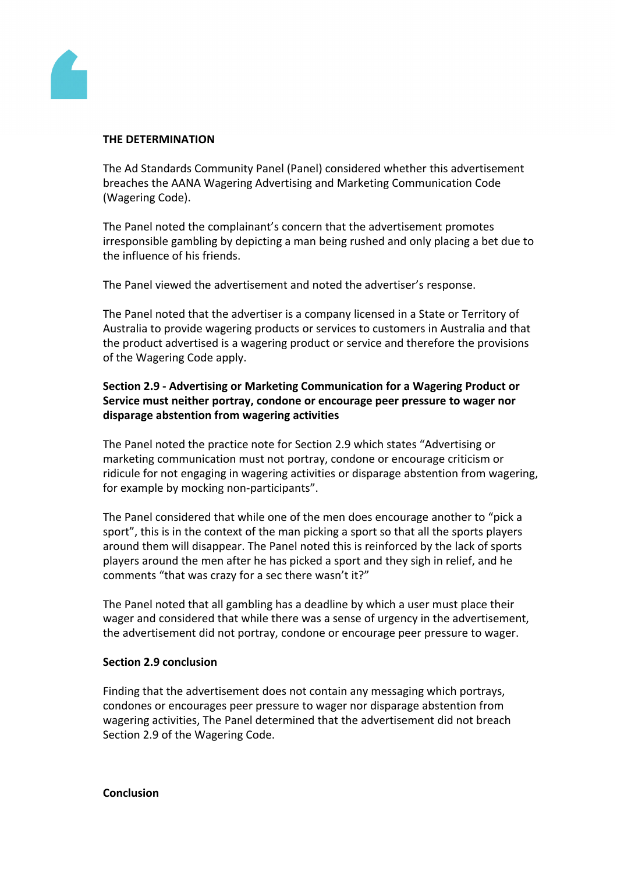

## **THE DETERMINATION**

The Ad Standards Community Panel (Panel) considered whether this advertisement breaches the AANA Wagering Advertising and Marketing Communication Code (Wagering Code).

The Panel noted the complainant's concern that the advertisement promotes irresponsible gambling by depicting a man being rushed and only placing a bet due to the influence of his friends.

The Panel viewed the advertisement and noted the advertiser's response.

The Panel noted that the advertiser is a company licensed in a State or Territory of Australia to provide wagering products or services to customers in Australia and that the product advertised is a wagering product or service and therefore the provisions of the Wagering Code apply.

## **Section 2.9 - Advertising or Marketing Communication for a Wagering Product or Service must neither portray, condone or encourage peer pressure to wager nor disparage abstention from wagering activities**

The Panel noted the practice note for Section 2.9 which states "Advertising or marketing communication must not portray, condone or encourage criticism or ridicule for not engaging in wagering activities or disparage abstention from wagering, for example by mocking non-participants".

The Panel considered that while one of the men does encourage another to "pick a sport", this is in the context of the man picking a sport so that all the sports players around them will disappear. The Panel noted this is reinforced by the lack of sports players around the men after he has picked a sport and they sigh in relief, and he comments "that was crazy for a sec there wasn't it?"

The Panel noted that all gambling has a deadline by which a user must place their wager and considered that while there was a sense of urgency in the advertisement, the advertisement did not portray, condone or encourage peer pressure to wager.

## **Section 2.9 conclusion**

Finding that the advertisement does not contain any messaging which portrays, condones or encourages peer pressure to wager nor disparage abstention from wagering activities, The Panel determined that the advertisement did not breach Section 2.9 of the Wagering Code.

## **Conclusion**